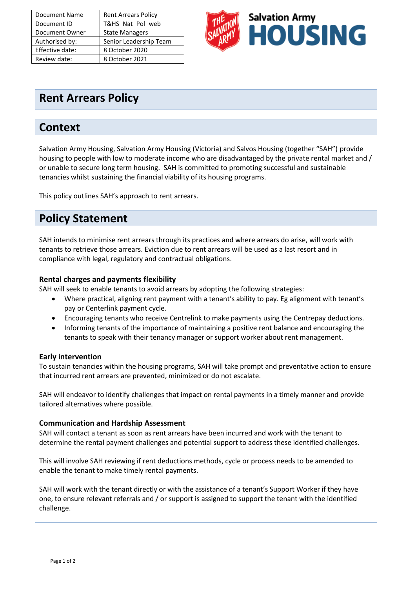| <b>Document Name</b> | <b>Rent Arrears Policy</b> |
|----------------------|----------------------------|
| Document ID          | T&HS Nat Pol web           |
| Document Owner       | <b>State Managers</b>      |
| Authorised by:       | Senior Leadership Team     |
| Effective date:      | 8 October 2020             |
| Review date:         | 8 October 2021             |



## **Rent Arrears Policy**

## **Context**

Salvation Army Housing, Salvation Army Housing (Victoria) and Salvos Housing (together "SAH") provide housing to people with low to moderate income who are disadvantaged by the private rental market and / or unable to secure long term housing. SAH is committed to promoting successful and sustainable tenancies whilst sustaining the financial viability of its housing programs.

This policy outlines SAH's approach to rent arrears.

# **Policy Statement**

SAH intends to minimise rent arrears through its practices and where arrears do arise, will work with tenants to retrieve those arrears. Eviction due to rent arrears will be used as a last resort and in compliance with legal, regulatory and contractual obligations.

#### **Rental charges and payments flexibility**

SAH will seek to enable tenants to avoid arrears by adopting the following strategies:

- Where practical, aligning rent payment with a tenant's ability to pay. Eg alignment with tenant's pay or Centerlink payment cycle.
- Encouraging tenants who receive Centrelink to make payments using the Centrepay deductions.
- Informing tenants of the importance of maintaining a positive rent balance and encouraging the tenants to speak with their tenancy manager or support worker about rent management.

#### **Early intervention**

To sustain tenancies within the housing programs, SAH will take prompt and preventative action to ensure that incurred rent arrears are prevented, minimized or do not escalate.

SAH will endeavor to identify challenges that impact on rental payments in a timely manner and provide tailored alternatives where possible.

#### **Communication and Hardship Assessment**

SAH will contact a tenant as soon as rent arrears have been incurred and work with the tenant to determine the rental payment challenges and potential support to address these identified challenges.

This will involve SAH reviewing if rent deductions methods, cycle or process needs to be amended to enable the tenant to make timely rental payments.

SAH will work with the tenant directly or with the assistance of a tenant's Support Worker if they have one, to ensure relevant referrals and / or support is assigned to support the tenant with the identified challenge.